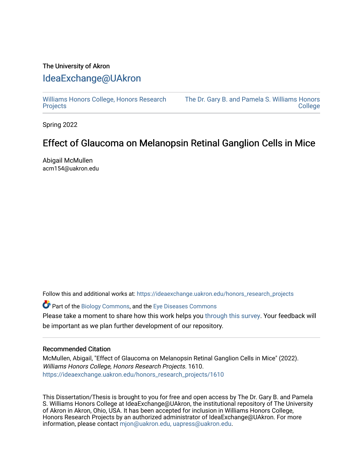# The University of Akron [IdeaExchange@UAkron](https://ideaexchange.uakron.edu/)

[Williams Honors College, Honors Research](https://ideaexchange.uakron.edu/honors_research_projects)  **[Projects](https://ideaexchange.uakron.edu/honors_research_projects)** 

[The Dr. Gary B. and Pamela S. Williams Honors](https://ideaexchange.uakron.edu/honorscollege_ideas)  **College** 

Spring 2022

# Effect of Glaucoma on Melanopsin Retinal Ganglion Cells in Mice

Abigail McMullen acm154@uakron.edu

Follow this and additional works at: [https://ideaexchange.uakron.edu/honors\\_research\\_projects](https://ideaexchange.uakron.edu/honors_research_projects?utm_source=ideaexchange.uakron.edu%2Fhonors_research_projects%2F1610&utm_medium=PDF&utm_campaign=PDFCoverPages) 

Part of the [Biology Commons,](https://network.bepress.com/hgg/discipline/41?utm_source=ideaexchange.uakron.edu%2Fhonors_research_projects%2F1610&utm_medium=PDF&utm_campaign=PDFCoverPages) and the [Eye Diseases Commons](https://network.bepress.com/hgg/discipline/957?utm_source=ideaexchange.uakron.edu%2Fhonors_research_projects%2F1610&utm_medium=PDF&utm_campaign=PDFCoverPages) 

Please take a moment to share how this work helps you [through this survey](http://survey.az1.qualtrics.com/SE/?SID=SV_eEVH54oiCbOw05f&URL=https://ideaexchange.uakron.edu/honors_research_projects/1610). Your feedback will be important as we plan further development of our repository.

# Recommended Citation

McMullen, Abigail, "Effect of Glaucoma on Melanopsin Retinal Ganglion Cells in Mice" (2022). Williams Honors College, Honors Research Projects. 1610. [https://ideaexchange.uakron.edu/honors\\_research\\_projects/1610](https://ideaexchange.uakron.edu/honors_research_projects/1610?utm_source=ideaexchange.uakron.edu%2Fhonors_research_projects%2F1610&utm_medium=PDF&utm_campaign=PDFCoverPages) 

This Dissertation/Thesis is brought to you for free and open access by The Dr. Gary B. and Pamela S. Williams Honors College at IdeaExchange@UAkron, the institutional repository of The University of Akron in Akron, Ohio, USA. It has been accepted for inclusion in Williams Honors College, Honors Research Projects by an authorized administrator of IdeaExchange@UAkron. For more information, please contact [mjon@uakron.edu, uapress@uakron.edu.](mailto:mjon@uakron.edu,%20uapress@uakron.edu)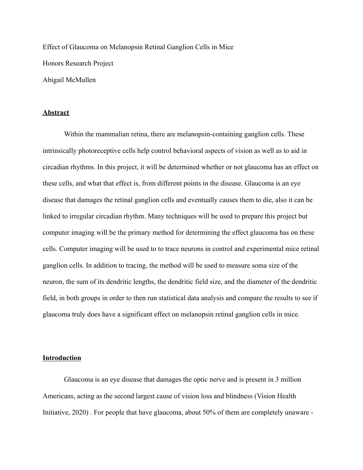Effect of Glaucoma on Melanopsin Retinal Ganglion Cells in Mice Honors Research Project Abigail McMullen

#### **Abstract**

Within the mammalian retina, there are melanopsin-containing ganglion cells. These intrinsically photoreceptive cells help control behavioral aspects of vision as well as to aid in circadian rhythms. In this project, it will be determined whether or not glaucoma has an effect on these cells, and what that effect is, from different points in the disease. Glaucoma is an eye disease that damages the retinal ganglion cells and eventually causes them to die, also it can be linked to irregular circadian rhythm. Many techniques will be used to prepare this project but computer imaging will be the primary method for determining the effect glaucoma has on these cells. Computer imaging will be used to to trace neurons in control and experimental mice retinal ganglion cells. In addition to tracing, the method will be used to measure soma size of the neuron, the sum of its dendritic lengths, the dendritic field size, and the diameter of the dendritic field, in both groups in order to then run statistical data analysis and compare the results to see if glaucoma truly does have a significant effect on melanopsin retinal ganglion cells in mice.

# **Introduction**

Glaucoma is an eye disease that damages the optic nerve and is present in 3 million Americans, acting as the second largest cause of vision loss and blindness (Vision Health Initiative, 2020) . For people that have glaucoma, about 50% of them are completely unaware -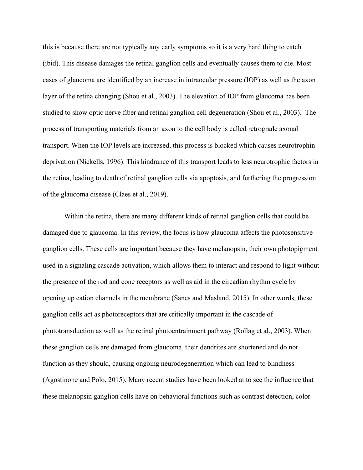this is because there are not typically any early symptoms so it is a very hard thing to catch (ibid). This disease damages the retinal ganglion cells and eventually causes them to die. Most cases of glaucoma are identified by an increase in intraocular pressure (IOP) as well as the axon layer of the retina changing (Shou et al., 2003). The elevation of IOP from glaucoma has been studied to show optic nerve fiber and retinal ganglion cell degeneration (Shou et al., 2003). The process of transporting materials from an axon to the cell body is called retrograde axonal transport. When the IOP levels are increased, this process is blocked which causes neurotrophin deprivation (Nickells, 1996). This hindrance of this transport leads to less neurotrophic factors in the retina, leading to death of retinal ganglion cells via apoptosis, and furthering the progression of the glaucoma disease (Claes et al., 2019).

Within the retina, there are many different kinds of retinal ganglion cells that could be damaged due to glaucoma. In this review, the focus is how glaucoma affects the photosensitive ganglion cells. These cells are important because they have melanopsin, their own photopigment used in a signaling cascade activation, which allows them to interact and respond to light without the presence of the rod and cone receptors as well as aid in the circadian rhythm cycle by opening up cation channels in the membrane (Sanes and Masland, 2015). In other words, these ganglion cells act as photoreceptors that are critically important in the cascade of phototransduction as well as the retinal photoentrainment pathway (Rollag et al., 2003). When these ganglion cells are damaged from glaucoma, their dendrites are shortened and do not function as they should, causing ongoing neurodegeneration which can lead to blindness (Agostinone and Polo, 2015). Many recent studies have been looked at to see the influence that these melanopsin ganglion cells have on behavioral functions such as contrast detection, color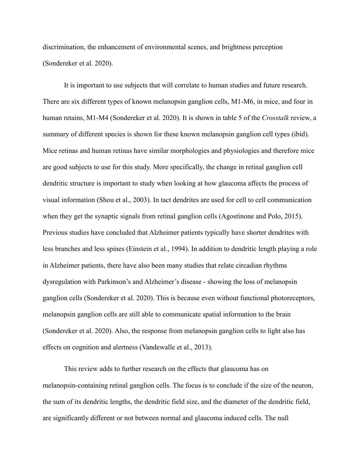discrimination, the enhancement of environmental scenes, and brightness perception (Sondereker et al. 2020).

It is important to use subjects that will correlate to human studies and future research. There are six different types of known melanopsin ganglion cells, M1-M6, in mice, and four in human retains, M1-M4 (Sondereker et al. 2020). It is shown in table 5 of the *Crosstalk* review, a summary of different species is shown for these known melanopsin ganglion cell types (ibid). Mice retinas and human retinas have similar morphologies and physiologies and therefore mice are good subjects to use for this study. More specifically, the change in retinal ganglion cell dendritic structure is important to study when looking at how glaucoma affects the process of visual information (Shou et al., 2003). In tact dendrites are used for cell to cell communication when they get the synaptic signals from retinal ganglion cells (Agostinone and Polo, 2015). Previous studies have concluded that Alzheimer patients typically have shorter dendrites with less branches and less spines (Einstein et al., 1994). In addition to dendritic length playing a role in Alzheimer patients, there have also been many studies that relate circadian rhythms dysregulation with Parkinson's and Alzheimer's disease - showing the loss of melanopsin ganglion cells (Sondereker et al. 2020). This is because even without functional photoreceptors, melanopsin ganglion cells are still able to communicate spatial information to the brain (Sondereker et al. 2020). Also, the response from melanopsin ganglion cells to light also has effects on cognition and alertness (Vandewalle et al., [2013\)](https://onlinelibrary.wiley.com/doi/10.1002/cne.24873#cne24873-bib-0156).

This review adds to further research on the effects that glaucoma has on melanopsin-containing retinal ganglion cells. The focus is to conclude if the size of the neuron, the sum of its dendritic lengths, the dendritic field size, and the diameter of the dendritic field, are significantly different or not between normal and glaucoma induced cells. The null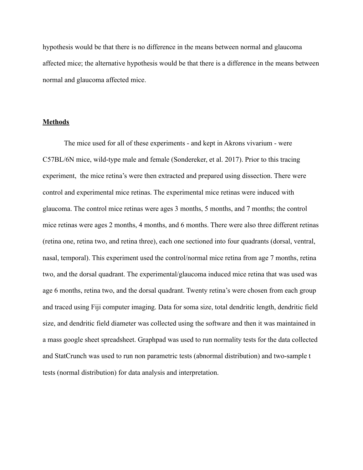hypothesis would be that there is no difference in the means between normal and glaucoma affected mice; the alternative hypothesis would be that there is a difference in the means between normal and glaucoma affected mice.

#### **Methods**

The mice used for all of these experiments - and kept in Akrons vivarium - were C57BL/6N mice, wild-type male and female (Sondereker, et al. 2017). Prior to this tracing experiment, the mice retina's were then extracted and prepared using dissection. There were control and experimental mice retinas. The experimental mice retinas were induced with glaucoma. The control mice retinas were ages 3 months, 5 months, and 7 months; the control mice retinas were ages 2 months, 4 months, and 6 months. There were also three different retinas (retina one, retina two, and retina three), each one sectioned into four quadrants (dorsal, ventral, nasal, temporal). This experiment used the control/normal mice retina from age 7 months, retina two, and the dorsal quadrant. The experimental/glaucoma induced mice retina that was used was age 6 months, retina two, and the dorsal quadrant. Twenty retina's were chosen from each group and traced using Fiji computer imaging. Data for soma size, total dendritic length, dendritic field size, and dendritic field diameter was collected using the software and then it was maintained in a mass google sheet spreadsheet. Graphpad was used to run normality tests for the data collected and StatCrunch was used to run non parametric tests (abnormal distribution) and two-sample t tests (normal distribution) for data analysis and interpretation.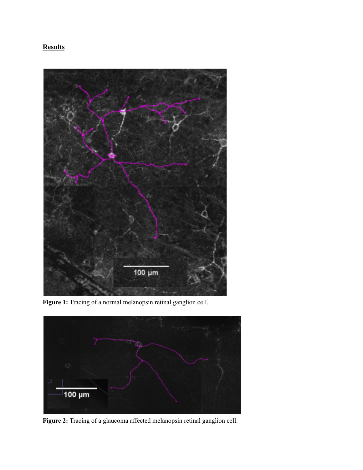# **Results**



**Figure 1:** Tracing of a normal melanopsin retinal ganglion cell.



**Figure 2:** Tracing of a glaucoma affected melanopsin retinal ganglion cell.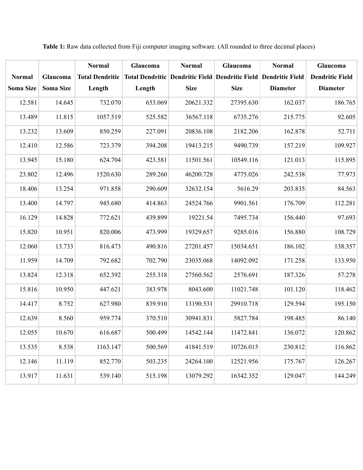|                  |                  | <b>Normal</b>          | Glaucoma | <b>Normal</b> | Glaucoma                                                        | <b>Normal</b>   | Glaucoma               |
|------------------|------------------|------------------------|----------|---------------|-----------------------------------------------------------------|-----------------|------------------------|
| <b>Normal</b>    | Glaucoma         | <b>Total Dendritic</b> |          |               | Total Dendritic Dendritic Field Dendritic Field Dendritic Field |                 | <b>Dendritic Field</b> |
| <b>Soma Size</b> | <b>Soma Size</b> | Length                 | Length   | <b>Size</b>   | <b>Size</b>                                                     | <b>Diameter</b> | <b>Diameter</b>        |
| 12.581           | 14.645           | 732.070                | 653.069  | 20621.332     | 27395.630                                                       | 162.037         | 186.765                |
| 13.489           | 11.815           | 1057.519               | 525.582  | 36567.118     | 6735.276                                                        | 215.775         | 92.605                 |
| 13.232           | 13.609           | 850.259                | 227.091  | 20836.108     | 2182.206                                                        | 162.878         | 52.711                 |
| 12.410           | 12.586           | 723.379                | 394.208  | 19413.215     | 9490.739                                                        | 157.219         | 109.927                |
| 13.945           | 15.180           | 624.704                | 423.581  | 11501.561     | 10549.116                                                       | 121.013         | 115.895                |
| 23.802           | 12.496           | 1520.630               | 289.260  | 46200.728     | 4775.026                                                        | 242.538         | 77.973                 |
| 18.406           | 13.254           | 971.858                | 290.609  | 32632.154     | 5616.29                                                         | 203.835         | 84.563                 |
| 13.400           | 14.797           | 945.680                | 414.863  | 24524.766     | 9901.561                                                        | 176.709         | 112.281                |
| 16.129           | 14.828           | 772.621                | 439.899  | 19221.54      | 7495.734                                                        | 156.440         | 97.693                 |
| 15.820           | 10.951           | 820.006                | 473.999  | 19329.657     | 9285.016                                                        | 156.880         | 108.729                |
| 12.060           | 13.733           | 816.473                | 490.816  | 27201.457     | 15034.651                                                       | 186.102         | 138.357                |
| 11.959           | 14.709           | 792.682                | 702.790  | 23035.068     | 14092.092                                                       | 171.258         | 133.950                |
| 13.824           | 12.318           | 652.392                | 255.318  | 27560.562     | 2576.691                                                        | 187.326         | 57.278                 |
| 15.816           | 10.950           | 447.621                | 383.978  | 8043.600      | 11021.748                                                       | 101.120         | 118.462                |
| 14.417           | 8.752            | 627.980                | 839.910  | 13190.531     | 29910.718                                                       | 129.594         | 195.150                |
| 12.639           | 8.560            | 959.774                | 370.510  | 30941.831     | 5827.784                                                        | 198.485         | 86.140                 |
| 12.055           | 10.670           | 616.687                | 500.499  | 14542.144     | 11472.841                                                       | 136.072         | 120.862                |
| 13.535           | 8.538            | 1163.147               | 500.569  | 41841.519     | 10726.015                                                       | 230.812         | 116.862                |
| 12.146           | 11.119           | 852.770                | 503.235  | 24264.100     | 12521.956                                                       | 175.767         | 126.267                |
| 13.917           | 11.631           | 539.140                | 515.198  | 13079.292     | 16342.352                                                       | 129.047         | 144.249                |

**Table 1:** Raw data collected from Fiji computer imaging software. (All rounded to three decimal places)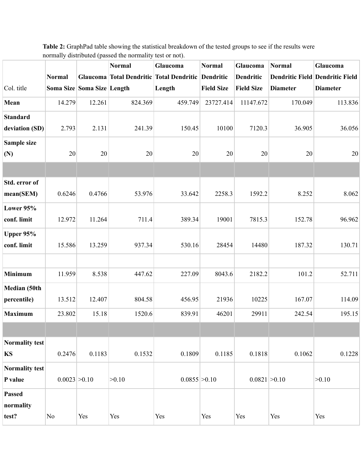|                       |                 |                            | <b>Normal</b> | Glaucoma                                           | <b>Normal</b>     | Glaucoma          | <b>Normal</b>   | Glaucoma                               |
|-----------------------|-----------------|----------------------------|---------------|----------------------------------------------------|-------------------|-------------------|-----------------|----------------------------------------|
|                       | <b>Normal</b>   |                            |               | Glaucoma Total Dendritic Total Dendritic Dendritic |                   | <b>Dendritic</b>  |                 | <b>Dendritic Field Dendritic Field</b> |
| Col. title            |                 | Soma Size Soma Size Length |               | Length                                             | <b>Field Size</b> | <b>Field Size</b> | <b>Diameter</b> | <b>Diameter</b>                        |
| Mean                  | 14.279          | 12.261                     | 824.369       | 459.749                                            | 23727.414         | 11147.672         | 170.049         | 113.836                                |
|                       |                 |                            |               |                                                    |                   |                   |                 |                                        |
| <b>Standard</b>       |                 |                            | 241.39        | 150.45                                             | 10100             | 7120.3            |                 | 36.056                                 |
| deviation (SD)        | 2.793           | 2.131                      |               |                                                    |                   |                   | 36.905          |                                        |
| Sample size           |                 |                            |               |                                                    |                   |                   |                 |                                        |
| (N)                   | 20              | 20                         | 20            | 20                                                 | 20                | 20                | 20              | 20                                     |
|                       |                 |                            |               |                                                    |                   |                   |                 |                                        |
| Std. error of         |                 |                            |               |                                                    |                   |                   |                 |                                        |
| mean(SEM)             | 0.6246          | 0.4766                     | 53.976        | 33.642                                             | 2258.3            | 1592.2            | 8.252           | 8.062                                  |
| Lower 95%             |                 |                            |               |                                                    |                   |                   |                 |                                        |
| conf. limit           | 12.972          | 11.264                     | 711.4         | 389.34                                             | 19001             | 7815.3            | 152.78          | 96.962                                 |
| Upper 95%             |                 |                            |               |                                                    |                   |                   |                 |                                        |
| conf. limit           | 15.586          | 13.259                     | 937.34        | 530.16                                             | 28454             | 14480             | 187.32          | 130.71                                 |
|                       |                 |                            |               |                                                    |                   |                   |                 |                                        |
| <b>Minimum</b>        | 11.959          | 8.538                      | 447.62        | 227.09                                             | 8043.6            | 2182.2            | 101.2           | 52.711                                 |
| Median (50th          |                 |                            |               |                                                    |                   |                   |                 |                                        |
| percentile)           | 13.512          | 12.407                     | 804.58        | 456.95                                             | 21936             | 10225             | 167.07          | 114.09                                 |
| <b>Maximum</b>        | 23.802          | 15.18                      | 1520.6        | 839.91                                             | 46201             | 29911             | 242.54          | 195.15                                 |
|                       |                 |                            |               |                                                    |                   |                   |                 |                                        |
| Normality test        |                 |                            |               |                                                    |                   |                   |                 |                                        |
| <b>KS</b>             | 0.2476          | 0.1183                     | 0.1532        | 0.1809                                             | 0.1185            | 0.1818            | 0.1062          | 0.1228                                 |
| <b>Normality test</b> |                 |                            |               |                                                    |                   |                   |                 |                                        |
| P value               | $0.0023$ > 0.10 |                            | >0.10         | $0.0855$ > 0.10                                    |                   | $0.0821$ > 0.10   |                 | >0.10                                  |
| <b>Passed</b>         |                 |                            |               |                                                    |                   |                   |                 |                                        |
| normality             |                 |                            |               |                                                    |                   |                   |                 |                                        |
| test?                 | N <sub>o</sub>  | Yes                        | Yes           | Yes                                                | Yes               | Yes               | Yes             | Yes                                    |

**Table 2:** GraphPad table showing the statistical breakdown of the tested groups to see if the results were normally distributed (passed the normality test or not).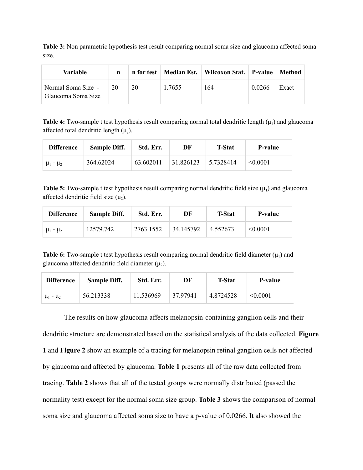**Table 3:** Non parametric hypothesis test result comparing normal soma size and glaucoma affected soma size.

| Variable                                 | n  | n for test |        | Median Est.   Wilcoxon Stat.   P-value |        | ∣ Method |
|------------------------------------------|----|------------|--------|----------------------------------------|--------|----------|
| Normal Soma Size -<br>Glaucoma Soma Size | 20 | 20         | 1.7655 | 164                                    | 0.0266 | Exact    |

**Table 4:** Two-sample t test hypothesis result comparing normal total dendritic length  $(\mu_1)$  and glaucoma affected total dendritic length  $(\mu_2)$ .

| <b>Difference</b> | <b>Sample Diff.</b> | Std. Err. | DF        | <b>T-Stat</b> | P-value       |
|-------------------|---------------------|-----------|-----------|---------------|---------------|
| $\mu_1 - \mu_2$   | 364.62024           | 63.602011 | 31.826123 | 5.7328414     | $\leq 0.0001$ |

**Table 5:** Two-sample t test hypothesis result comparing normal dendritic field size  $(\mu_1)$  and glaucoma affected dendritic field size  $(\mu_2)$ .

| <b>Difference</b> | <b>Sample Diff.</b> | Std. Err. | DF        | <b>T-Stat</b> | P-value  |
|-------------------|---------------------|-----------|-----------|---------------|----------|
| $\mu_1 - \mu_2$   | 12579.742           | 2763.1552 | 34.145792 | 4.552673      | < 0.0001 |

**Table 6:** Two-sample t test hypothesis result comparing normal dendritic field diameter  $(\mu_1)$  and glaucoma affected dendritic field diameter  $(\mu_2)$ .

| <b>Difference</b> | <b>Sample Diff.</b> | Std. Err. | DF       | <b>T-Stat</b> | P-value       |
|-------------------|---------------------|-----------|----------|---------------|---------------|
| $\mu_1 - \mu_2$   | 56.213338           | 11.536969 | 37 97941 | 4.8724528     | $\leq 0.0001$ |

The results on how glaucoma affects melanopsin-containing ganglion cells and their dendritic structure are demonstrated based on the statistical analysis of the data collected. **Figure 1** and **Figure 2** show an example of a tracing for melanopsin retinal ganglion cells not affected by glaucoma and affected by glaucoma. **Table 1** presents all of the raw data collected from tracing. **Table 2** shows that all of the tested groups were normally distributed (passed the normality test) except for the normal soma size group. **Table 3** shows the comparison of normal soma size and glaucoma affected soma size to have a p-value of 0.0266. It also showed the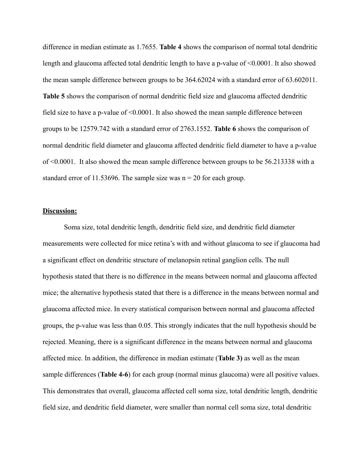difference in median estimate as 1.7655. **Table 4** shows the comparison of normal total dendritic length and glaucoma affected total dendritic length to have a p-value of <0.0001. It also showed the mean sample difference between groups to be 364.62024 with a standard error of 63.602011. **Table 5** shows the comparison of normal dendritic field size and glaucoma affected dendritic field size to have a p-value of <0.0001. It also showed the mean sample difference between groups to be 12579.742 with a standard error of 2763.1552. **Table 6** shows the comparison of normal dendritic field diameter and glaucoma affected dendritic field diameter to have a p-value of <0.0001. It also showed the mean sample difference between groups to be 56.213338 with a standard error of 11.53696. The sample size was  $n = 20$  for each group.

### **Discussion:**

Soma size, total dendritic length, dendritic field size, and dendritic field diameter measurements were collected for mice retina's with and without glaucoma to see if glaucoma had a significant effect on dendritic structure of melanopsin retinal ganglion cells. The null hypothesis stated that there is no difference in the means between normal and glaucoma affected mice; the alternative hypothesis stated that there is a difference in the means between normal and glaucoma affected mice. In every statistical comparison between normal and glaucoma affected groups, the p-value was less than 0.05. This strongly indicates that the null hypothesis should be rejected. Meaning, there is a significant difference in the means between normal and glaucoma affected mice. In addition, the difference in median estimate (**Table 3)** as well as the mean sample differences (**Table 4-6**) for each group (normal minus glaucoma) were all positive values. This demonstrates that overall, glaucoma affected cell soma size, total dendritic length, dendritic field size, and dendritic field diameter, were smaller than normal cell soma size, total dendritic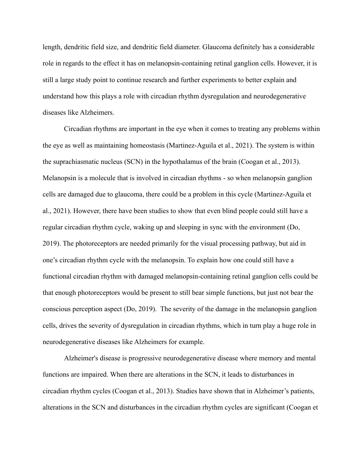length, dendritic field size, and dendritic field diameter. Glaucoma definitely has a considerable role in regards to the effect it has on melanopsin-containing retinal ganglion cells. However, it is still a large study point to continue research and further experiments to better explain and understand how this plays a role with circadian rhythm dysregulation and neurodegenerative diseases like Alzheimers.

Circadian rhythms are important in the eye when it comes to treating any problems within the eye as well as maintaining homeostasis (Martinez-Aguila et al., 2021). The system is within the suprachiasmatic nucleus (SCN) in the hypothalamus of the brain (Coogan et al., 2013). Melanopsin is a molecule that is involved in circadian rhythms - so when melanopsin ganglion cells are damaged due to glaucoma, there could be a problem in this cycle (Martinez-Aguila et al., 2021). However, there have been studies to show that even blind people could still have a regular circadian rhythm cycle, waking up and sleeping in sync with the environment (Do, 2019). The photoreceptors are needed primarily for the visual processing pathway, but aid in one's circadian rhythm cycle with the melanopsin. To explain how one could still have a functional circadian rhythm with damaged melanopsin-containing retinal ganglion cells could be that enough photoreceptors would be present to still bear simple functions, but just not bear the conscious perception aspect (Do, 2019). The severity of the damage in the melanopsin ganglion cells, drives the severity of dysregulation in circadian rhythms, which in turn play a huge role in neurodegenerative diseases like Alzheimers for example.

Alzheimer's disease is progressive neurodegenerative disease where memory and mental functions are impaired. When there are alterations in the SCN, it leads to disturbances in circadian rhythm cycles (Coogan et al., 2013). Studies have shown that in Alzheimer's patients, alterations in the SCN and disturbances in the circadian rhythm cycles are significant (Coogan et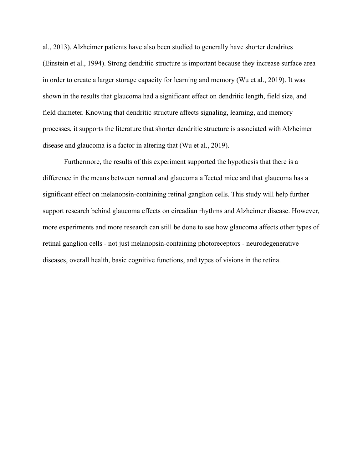al., 2013). Alzheimer patients have also been studied to generally have shorter dendrites (Einstein et al., 1994). Strong dendritic structure is important because they increase surface area in order to create a larger storage capacity for learning and memory (Wu et al., 2019). It was shown in the results that glaucoma had a significant effect on dendritic length, field size, and field diameter. Knowing that dendritic structure affects signaling, learning, and memory processes, it supports the literature that shorter dendritic structure is associated with Alzheimer disease and glaucoma is a factor in altering that (Wu et al., 2019).

Furthermore, the results of this experiment supported the hypothesis that there is a difference in the means between normal and glaucoma affected mice and that glaucoma has a significant effect on melanopsin-containing retinal ganglion cells. This study will help further support research behind glaucoma effects on circadian rhythms and Alzheimer disease. However, more experiments and more research can still be done to see how glaucoma affects other types of retinal ganglion cells - not just melanopsin-containing photoreceptors - neurodegenerative diseases, overall health, basic cognitive functions, and types of visions in the retina.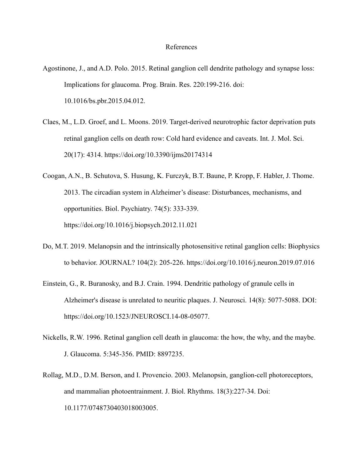### References

- Agostinone, J., and A.D. Polo. 2015. Retinal ganglion cell dendrite pathology and synapse loss: Implications for glaucoma. Prog. Brain. Res. 220:199-216. doi: 10.1016/bs.pbr.2015.04.012.
- Claes, M., L.D. Groef, and L. Moons. 2019. Target-derived neurotrophic factor deprivation puts retinal ganglion cells on death row: Cold hard evidence and caveats. Int. J. Mol. Sci. 20(17): 4314. <https://doi.org/10.3390/ijms20174314>
- Coogan, A.N., B. Schutova, S. Husung, K. Furczyk, B.T. Baune, P. Kropp, F. Habler, J. Thome. 2013. The circadian system in Alzheimer's disease: Disturbances, mechanisms, and opportunities. Biol. Psychiatry. 74(5): 333-339. <https://doi.org/10.1016/j.biopsych.2012.11.021>
- Do, M.T. 2019. Melanopsin and the intrinsically photosensitive retinal ganglion cells: Biophysics to behavior. JOURNAL? 104(2): 205-226. <https://doi.org/10.1016/j.neuron.2019.07.016>
- Einstein, G., R. Buranosky, and B.J. Crain. 1994. Dendritic pathology of granule cells in Alzheimer's disease is unrelated to neuritic plaques. J. Neurosci. 14(8): 5077-5088. DOI: [https://doi.org/10.1523/JNEUROSCI.14-08-05077.](https://doi.org/10.1523/JNEUROSCI.14-08-05077)
- Nickells, R.W. 1996. Retinal ganglion cell death in glaucoma: the how, the why, and the maybe. J. Glaucoma. 5:345-356. PMID: 8897235.
- Rollag, M.D., D.M. Berson, and I. Provencio. 2003. Melanopsin, ganglion-cell photoreceptors, and mammalian photoentrainment. J. Biol. Rhythms. 18(3):227-34. Doi: 10.1177/0748730403018003005.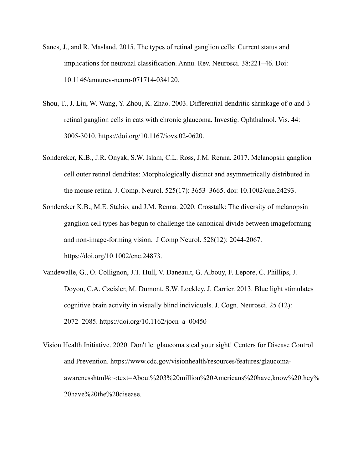- Sanes, J., and R. Masland. 2015. The types of retinal ganglion cells: Current status and implications for neuronal classification. Annu. Rev. Neurosci. 38:221–46. Doi: 10.1146/annurev-neuro-071714-034120.
- Shou, T., J. Liu, W. Wang, Y. Zhou, K. Zhao. 2003. Differential dendritic shrinkage of α and β retinal ganglion cells in cats with chronic glaucoma. Investig. Ophthalmol. Vis. 44: 3005-3010. [https://doi.org/10.1167/iovs.02-0620.](https://doi.org/10.1167/iovs.02-0620)
- Sondereker, K.B., J.R. Onyak, S.W. Islam, C.L. Ross, J.M. Renna. 2017. Melanopsin ganglion cell outer retinal dendrites: Morphologically distinct and asymmetrically distributed in the mouse retina. J. Comp. Neurol. [525\(17\): 3653–3665.](https://www.ncbi.nlm.nih.gov/entrez/eutils/elink.fcgi?dbfrom=pubmed&retmode=ref&cmd=prlinks&id=28758193) doi: [10.1002/cne.24293.](https://dx.doi.org/10.1002%2Fcne.24293)
- Sondereker K.B., M.E. Stabio, and J.M. Renna. 2020. Crosstalk: The diversity of melanopsin ganglion cell types has begun to challenge the canonical divide between imageforming and non-image-forming vision. J Comp Neurol. [528\(12\)](https://onlinelibrary.wiley.com/toc/10969861/2020/528/12): 2044-2067. [https://doi.org/10.1002/cne.24873.](https://doi.org/10.1002/cne.24873)
- Vandewalle, G., O. Collignon, J.T. Hull, V. Daneault, G. Albouy, F. Lepore, C. Phillips, J. Doyon, C.A. Czeisler, M. Dumont, S.W. Lockley, J. Carrier. 2013. Blue light stimulates cognitive brain activity in visually blind individuals. J. Cogn. Neurosci. 25 (12): 2072–2085. [https://doi.org/10.1162/jocn\\_a\\_00450](https://doi.org/10.1162/jocn_a_00450)
- Vision Health Initiative. 2020. Don't let glaucoma steal your sight! Centers for Disease Control and Prevention. [https://www.cdc.gov/visionhealth/resources/features/glaucoma](https://www.cdc.gov/visionhealth/resources/features/glaucoma-awareness)[awareness](https://www.cdc.gov/visionhealth/resources/features/glaucoma-awareness)html#:~:text=About%203%20million%20Americans%20have,know%20they% 20have%20the%20disease.